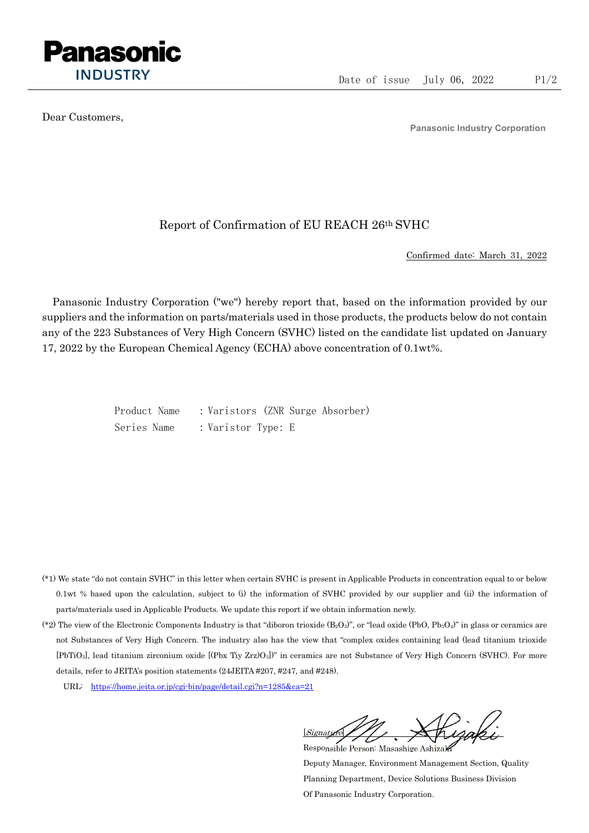

Dear Customers,

Panasonic Industry Corporation

## Report of Confirmation of EU REACH 26th SVHC

Confirmed date: March 31, 2022

Panasonic Industry Corporation ("we") hereby report that, based on the information provided by our suppliers and the information on parts/materials used in those products, the products below do not contain any of the 223 Substances of Very High Concern (SVHC) listed on the candidate list updated on January 17, 2022 by the European Chemical Agency (ECHA) above concentration of 0.1wt%.

> Product Name : Varistors (ZNR Surge Absorber) Series Name : Varistor Type: E

- (\*1) We state "do not contain SVHC" in this letter when certain SVHC is present in Applicable Products in concentration equal to or below 0.1wt % based upon the calculation, subject to (i) the information of SVHC provided by our supplier and (ii) the information of parts/materials used in Applicable Products. We update this report if we obtain information newly.
- (\*2) The view of the Electronic Components Industry is that "diboron trioxide  $(B_2O_3)$ ", or "lead oxide (PbO, Pb<sub>3</sub>O<sub>4</sub>)" in glass or ceramics are not Substances of Very High Concern. The industry also has the view that "complex oxides containing lead (lead titanium trioxide [PbTiO3], lead titanium zirconium oxide [(Pbx Tiy Zrz)O3])" in ceramics are not Substance of Very High Concern (SVHC). For more details, refer to JEITA's position statements (24JEITA #207, #247, and #248).
	- URL: https://home.jeita.or.jp/cgi-bin/page/detail.cgi?n=1285&ca=21

[Signature] Responsible Person: Masashige Ashizaki

Deputy Manager, Environment Management Section, Quality Planning Department, Device Solutions Business Division Of Panasonic Industry Corporation.